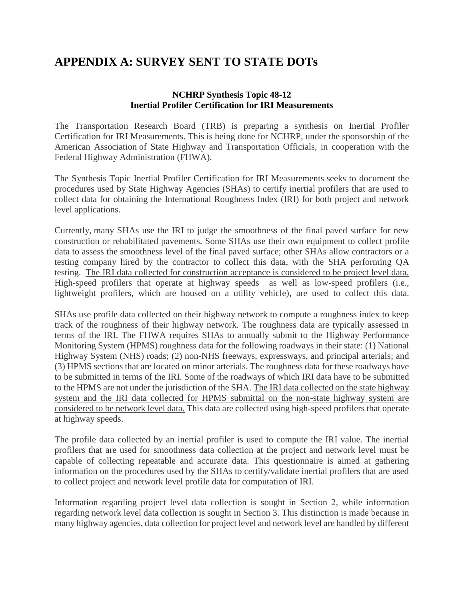# **APPENDIX A: SURVEY SENT TO STATE DOTs**

### **NCHRP Synthesis Topic 48-12 Inertial Profiler Certification for IRI Measurements**

The Transportation Research Board (TRB) is preparing a synthesis on Inertial Profiler Certification for IRI Measurements. This is being done for NCHRP, under the sponsorship of the American Association of State Highway and Transportation Officials, in cooperation with the Federal Highway Administration (FHWA).

The Synthesis Topic Inertial Profiler Certification for IRI Measurements seeks to document the procedures used by State Highway Agencies (SHAs) to certify inertial profilers that are used to collect data for obtaining the International Roughness Index (IRI) for both project and network level applications.

Currently, many SHAs use the IRI to judge the smoothness of the final paved surface for new construction or rehabilitated pavements. Some SHAs use their own equipment to collect profile data to assess the smoothness level of the final paved surface; other SHAs allow contractors or a testing company hired by the contractor to collect this data, with the SHA performing QA testing. The IRI data collected for construction acceptance is considered to be project level data. High-speed profilers that operate at highway speeds as well as low-speed profilers (i.e., lightweight profilers, which are housed on a utility vehicle), are used to collect this data.

SHAs use profile data collected on their highway network to compute a roughness index to keep track of the roughness of their highway network. The roughness data are typically assessed in terms of the IRI. The FHWA requires SHAs to annually submit to the Highway Performance Monitoring System (HPMS) roughness data for the following roadways in their state: (1) National Highway System (NHS) roads; (2) non-NHS freeways, expressways, and principal arterials; and (3) HPMS sections that are located on minor arterials. The roughness data for these roadways have to be submitted in terms of the IRI. Some of the roadways of which IRI data have to be submitted to the HPMS are not under the jurisdiction of the SHA. The IRI data collected on the state highway system and the IRI data collected for HPMS submittal on the non-state highway system are considered to be network level data. This data are collected using high-speed profilers that operate at highway speeds.

The profile data collected by an inertial profiler is used to compute the IRI value. The inertial profilers that are used for smoothness data collection at the project and network level must be capable of collecting repeatable and accurate data. This questionnaire is aimed at gathering information on the procedures used by the SHAs to certify/validate inertial profilers that are used to collect project and network level profile data for computation of IRI.

Information regarding project level data collection is sought in Section 2, while information regarding network level data collection is sought in Section 3. This distinction is made because in many highway agencies, data collection for project level and network level are handled by different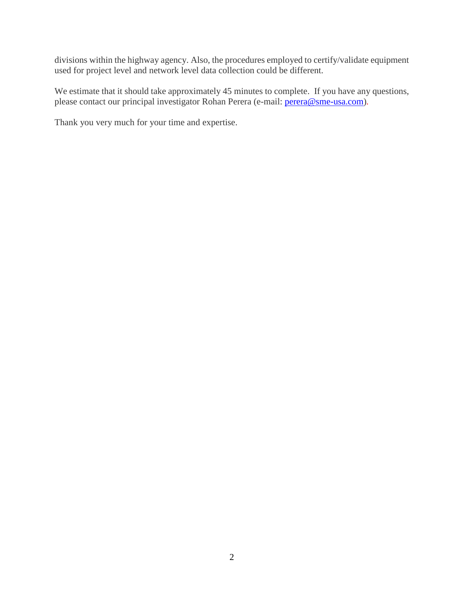divisions within the highway agency. Also, the procedures employed to certify/validate equipment used for project level and network level data collection could be different.

We estimate that it should take approximately 45 minutes to complete. If you have any questions, please contact our principal investigator Rohan Perera (e-mail: [perera@sme-usa.com\)](mailto:perera@sme-usa.com)*.*

Thank you very much for your time and expertise.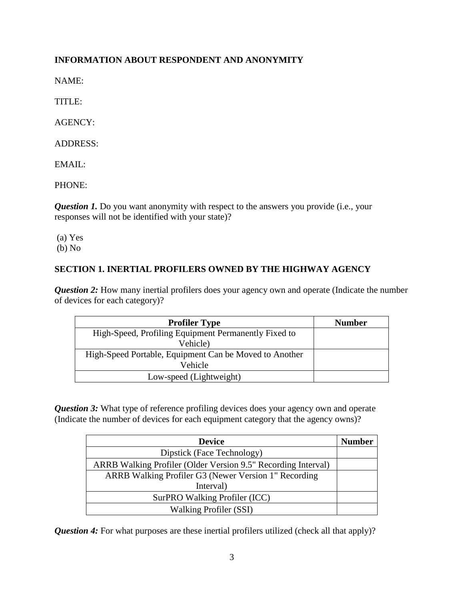## **INFORMATION ABOUT RESPONDENT AND ANONYMITY**

NAME:

TITLE:

AGENCY:

ADDRESS:

EMAIL:

PHONE:

*Question 1.* Do you want anonymity with respect to the answers you provide (i.e., your responses will not be identified with your state)?

(a) Yes

(b) No

## **SECTION 1. INERTIAL PROFILERS OWNED BY THE HIGHWAY AGENCY**

*Question 2:* How many inertial profilers does your agency own and operate (Indicate the number of devices for each category)?

| <b>Profiler Type</b>                                   | <b>Number</b> |
|--------------------------------------------------------|---------------|
| High-Speed, Profiling Equipment Permanently Fixed to   |               |
| Vehicle)                                               |               |
| High-Speed Portable, Equipment Can be Moved to Another |               |
| Vehicle                                                |               |
| Low-speed (Lightweight)                                |               |

*Question 3:* What type of reference profiling devices does your agency own and operate (Indicate the number of devices for each equipment category that the agency owns)?

| <b>Device</b>                                                 | <b>Number</b> |
|---------------------------------------------------------------|---------------|
| Dipstick (Face Technology)                                    |               |
| ARRB Walking Profiler (Older Version 9.5" Recording Interval) |               |
| ARRB Walking Profiler G3 (Newer Version 1" Recording          |               |
| Interval)                                                     |               |
| SurPRO Walking Profiler (ICC)                                 |               |
| <b>Walking Profiler (SSI)</b>                                 |               |

*Question 4:* For what purposes are these inertial profilers utilized (check all that apply)?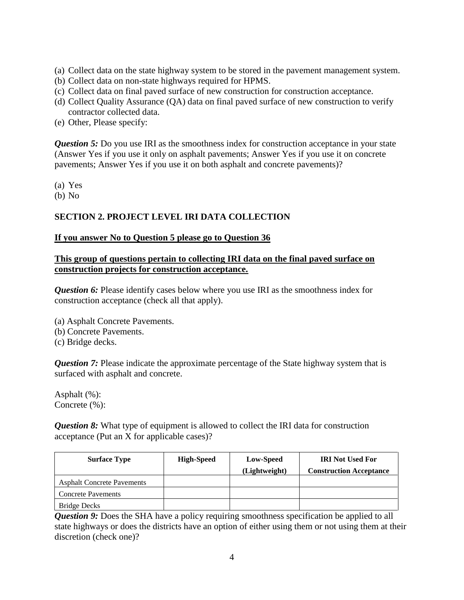- (a) Collect data on the state highway system to be stored in the pavement management system.
- (b) Collect data on non-state highways required for HPMS.
- (c) Collect data on final paved surface of new construction for construction acceptance.
- (d) Collect Quality Assurance (QA) data on final paved surface of new construction to verify contractor collected data.
- (e) Other, Please specify:

*Question 5:* Do you use IRI as the smoothness index for construction acceptance in your state (Answer Yes if you use it only on asphalt pavements; Answer Yes if you use it on concrete pavements; Answer Yes if you use it on both asphalt and concrete pavements)?

(a) Yes

(b) No

## **SECTION 2. PROJECT LEVEL IRI DATA COLLECTION**

#### **If you answer No to Question 5 please go to Question 36**

### **This group of questions pertain to collecting IRI data on the final paved surface on construction projects for construction acceptance.**

**Question 6:** Please identify cases below where you use IRI as the smoothness index for construction acceptance (check all that apply).

(a) Asphalt Concrete Pavements.

- (b) Concrete Pavements.
- (c) Bridge decks.

*Question 7:* Please indicate the approximate percentage of the State highway system that is surfaced with asphalt and concrete.

Asphalt (%): Concrete (%):

*Question 8:* What type of equipment is allowed to collect the IRI data for construction acceptance (Put an X for applicable cases)?

| <b>Surface Type</b>               | <b>High-Speed</b> | Low-Speed     | <b>IRI</b> Not Used For        |
|-----------------------------------|-------------------|---------------|--------------------------------|
|                                   |                   | (Lightweight) | <b>Construction Acceptance</b> |
| <b>Asphalt Concrete Pavements</b> |                   |               |                                |
| <b>Concrete Pavements</b>         |                   |               |                                |
| <b>Bridge Decks</b>               |                   |               |                                |

*Question 9:* Does the SHA have a policy requiring smoothness specification be applied to all state highways or does the districts have an option of either using them or not using them at their discretion (check one)?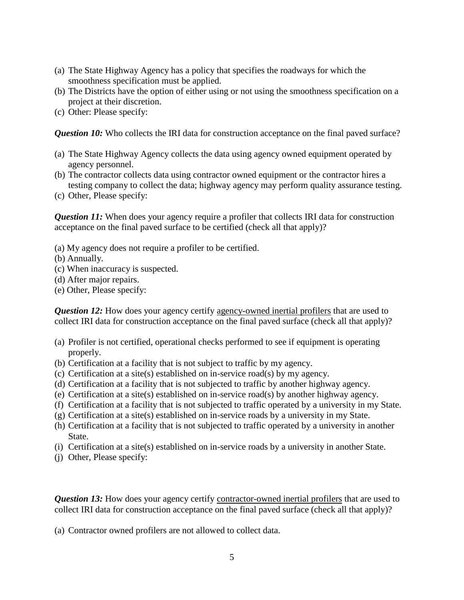- (a) The State Highway Agency has a policy that specifies the roadways for which the smoothness specification must be applied.
- (b) The Districts have the option of either using or not using the smoothness specification on a project at their discretion.
- (c) Other: Please specify:

*Question 10:* Who collects the IRI data for construction acceptance on the final paved surface?

- (a) The State Highway Agency collects the data using agency owned equipment operated by agency personnel.
- (b) The contractor collects data using contractor owned equipment or the contractor hires a testing company to collect the data; highway agency may perform quality assurance testing.
- (c) Other, Please specify:

*Question 11:* When does your agency require a profiler that collects IRI data for construction acceptance on the final paved surface to be certified (check all that apply)?

- (a) My agency does not require a profiler to be certified.
- (b) Annually.
- (c) When inaccuracy is suspected.
- (d) After major repairs.
- (e) Other, Please specify:

**Question 12:** How does your agency certify agency-owned inertial profilers that are used to collect IRI data for construction acceptance on the final paved surface (check all that apply)?

- (a) Profiler is not certified, operational checks performed to see if equipment is operating properly.
- (b) Certification at a facility that is not subject to traffic by my agency.
- (c) Certification at a site(s) established on in-service road(s) by my agency.
- (d) Certification at a facility that is not subjected to traffic by another highway agency.
- (e) Certification at a site(s) established on in-service road(s) by another highway agency.
- (f) Certification at a facility that is not subjected to traffic operated by a university in my State.
- (g) Certification at a site(s) established on in-service roads by a university in my State.
- (h) Certification at a facility that is not subjected to traffic operated by a university in another State.
- (i) Certification at a site(s) established on in-service roads by a university in another State.
- (j) Other, Please specify:

**Question 13:** How does your agency certify contractor-owned inertial profilers that are used to collect IRI data for construction acceptance on the final paved surface (check all that apply)?

(a) Contractor owned profilers are not allowed to collect data.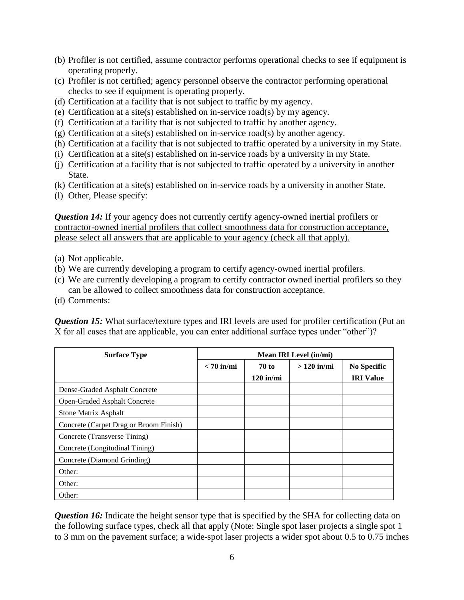- (b) Profiler is not certified, assume contractor performs operational checks to see if equipment is operating properly.
- (c) Profiler is not certified; agency personnel observe the contractor performing operational checks to see if equipment is operating properly.
- (d) Certification at a facility that is not subject to traffic by my agency.
- (e) Certification at a site(s) established on in-service road(s) by my agency.
- (f) Certification at a facility that is not subjected to traffic by another agency.
- (g) Certification at a site(s) established on in-service road(s) by another agency.
- (h) Certification at a facility that is not subjected to traffic operated by a university in my State.
- (i) Certification at a site(s) established on in-service roads by a university in my State.
- (j) Certification at a facility that is not subjected to traffic operated by a university in another State.
- (k) Certification at a site(s) established on in-service roads by a university in another State.
- (l) Other, Please specify:

*Question 14:* If your agency does not currently certify agency-owned inertial profilers or contractor-owned inertial profilers that collect smoothness data for construction acceptance, please select all answers that are applicable to your agency (check all that apply).

- (a) Not applicable.
- (b) We are currently developing a program to certify agency-owned inertial profilers.
- (c) We are currently developing a program to certify contractor owned inertial profilers so they can be allowed to collect smoothness data for construction acceptance.
- (d) Comments:

*Question 15:* What surface/texture types and IRI levels are used for profiler certification (Put an X for all cases that are applicable, you can enter additional surface types under "other")?

| <b>Surface Type</b>                    | Mean IRI Level (in/mi) |              |              |                    |
|----------------------------------------|------------------------|--------------|--------------|--------------------|
|                                        | $< 70$ in/mi           | <b>70 to</b> | $>120$ in/mi | <b>No Specific</b> |
|                                        |                        | $120$ in/mi  |              | <b>IRI</b> Value   |
| Dense-Graded Asphalt Concrete          |                        |              |              |                    |
| Open-Graded Asphalt Concrete           |                        |              |              |                    |
| <b>Stone Matrix Asphalt</b>            |                        |              |              |                    |
| Concrete (Carpet Drag or Broom Finish) |                        |              |              |                    |
| Concrete (Transverse Tining)           |                        |              |              |                    |
| Concrete (Longitudinal Tining)         |                        |              |              |                    |
| Concrete (Diamond Grinding)            |                        |              |              |                    |
| Other:                                 |                        |              |              |                    |
| Other:                                 |                        |              |              |                    |
| Other:                                 |                        |              |              |                    |

**Question 16:** Indicate the height sensor type that is specified by the SHA for collecting data on the following surface types, check all that apply (Note: Single spot laser projects a single spot 1 to 3 mm on the pavement surface; a wide-spot laser projects a wider spot about 0.5 to 0.75 inches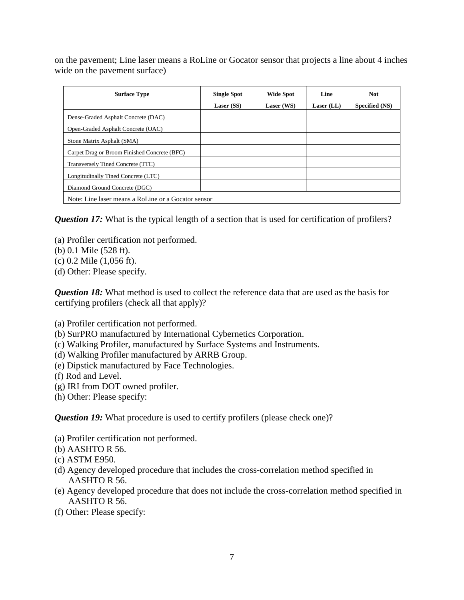on the pavement; Line laser means a RoLine or Gocator sensor that projects a line about 4 inches wide on the pavement surface)

| <b>Surface Type</b>                                 | <b>Single Spot</b><br>Laser (SS) | <b>Wide Spot</b><br>Laser (WS) | Line<br>Laser $(LL)$ | <b>Not</b><br>Specified (NS) |
|-----------------------------------------------------|----------------------------------|--------------------------------|----------------------|------------------------------|
| Dense-Graded Asphalt Concrete (DAC)                 |                                  |                                |                      |                              |
| Open-Graded Asphalt Concrete (OAC)                  |                                  |                                |                      |                              |
| Stone Matrix Asphalt (SMA)                          |                                  |                                |                      |                              |
| Carpet Drag or Broom Finished Concrete (BFC)        |                                  |                                |                      |                              |
| Transversely Tined Concrete (TTC)                   |                                  |                                |                      |                              |
| Longitudinally Tined Concrete (LTC)                 |                                  |                                |                      |                              |
| Diamond Ground Concrete (DGC)                       |                                  |                                |                      |                              |
| Note: Line laser means a RoLine or a Gocator sensor |                                  |                                |                      |                              |

*Question 17:* What is the typical length of a section that is used for certification of profilers?

- (a) Profiler certification not performed.
- (b) 0.1 Mile (528 ft).
- (c) 0.2 Mile (1,056 ft).
- (d) Other: Please specify.

*Question 18:* What method is used to collect the reference data that are used as the basis for certifying profilers (check all that apply)?

- (a) Profiler certification not performed.
- (b) SurPRO manufactured by International Cybernetics Corporation.
- (c) Walking Profiler, manufactured by Surface Systems and Instruments.
- (d) Walking Profiler manufactured by ARRB Group.
- (e) Dipstick manufactured by Face Technologies.
- (f) Rod and Level.
- (g) IRI from DOT owned profiler.
- (h) Other: Please specify:

*Question 19:* What procedure is used to certify profilers (please check one)?

- (a) Profiler certification not performed.
- (b) AASHTO R 56.
- (c) ASTM E950.
- (d) Agency developed procedure that includes the cross-correlation method specified in AASHTO R 56.
- (e) Agency developed procedure that does not include the cross-correlation method specified in AASHTO R 56.
- (f) Other: Please specify: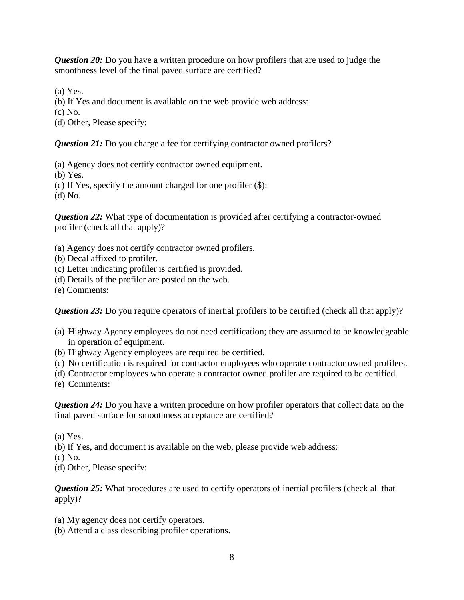*Question 20:* Do you have a written procedure on how profilers that are used to judge the smoothness level of the final paved surface are certified?

(a) Yes.

- (b) If Yes and document is available on the web provide web address:
- (c) No.
- (d) Other, Please specify:

*Question 21:* Do you charge a fee for certifying contractor owned profilers?

(a) Agency does not certify contractor owned equipment.

(b) Yes.

(c) If Yes, specify the amount charged for one profiler (\$):

(d) No.

*Question 22:* What type of documentation is provided after certifying a contractor-owned profiler (check all that apply)?

- (a) Agency does not certify contractor owned profilers.
- (b) Decal affixed to profiler.
- (c) Letter indicating profiler is certified is provided.
- (d) Details of the profiler are posted on the web.

(e) Comments:

*Question 23:* Do you require operators of inertial profilers to be certified (check all that apply)?

- (a) Highway Agency employees do not need certification; they are assumed to be knowledgeable in operation of equipment.
- (b) Highway Agency employees are required be certified.
- (c) No certification is required for contractor employees who operate contractor owned profilers.
- (d) Contractor employees who operate a contractor owned profiler are required to be certified.

(e) Comments:

*Question 24:* Do you have a written procedure on how profiler operators that collect data on the final paved surface for smoothness acceptance are certified?

(a) Yes.

(b) If Yes, and document is available on the web, please provide web address:

(c) No.

(d) Other, Please specify:

*Question 25:* What procedures are used to certify operators of inertial profilers (check all that apply)?

- (a) My agency does not certify operators.
- (b) Attend a class describing profiler operations.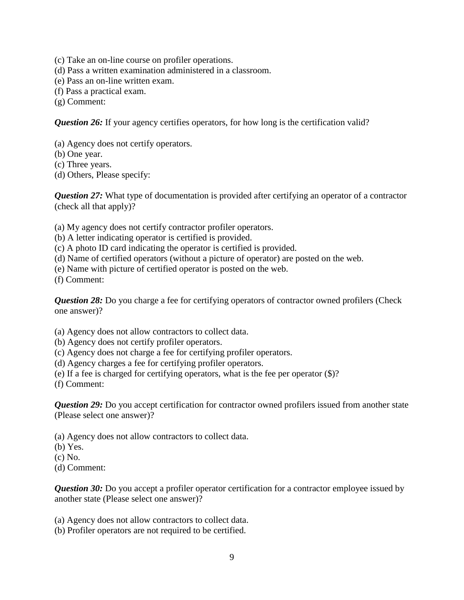- (c) Take an on-line course on profiler operations.
- (d) Pass a written examination administered in a classroom.
- (e) Pass an on-line written exam.
- (f) Pass a practical exam.

(g) Comment:

*Question 26:* If your agency certifies operators, for how long is the certification valid?

- (a) Agency does not certify operators.
- (b) One year.
- (c) Three years.
- (d) Others, Please specify:

*Question 27:* What type of documentation is provided after certifying an operator of a contractor (check all that apply)?

(a) My agency does not certify contractor profiler operators.

(b) A letter indicating operator is certified is provided.

(c) A photo ID card indicating the operator is certified is provided.

(d) Name of certified operators (without a picture of operator) are posted on the web.

(e) Name with picture of certified operator is posted on the web.

(f) Comment:

*Question 28:* Do you charge a fee for certifying operators of contractor owned profilers (Check one answer)?

(a) Agency does not allow contractors to collect data.

(b) Agency does not certify profiler operators.

(c) Agency does not charge a fee for certifying profiler operators.

- (d) Agency charges a fee for certifying profiler operators.
- (e) If a fee is charged for certifying operators, what is the fee per operator (\$)?

(f) Comment:

*Question 29:* Do you accept certification for contractor owned profilers issued from another state (Please select one answer)?

(a) Agency does not allow contractors to collect data.

(b) Yes.

(c) No.

(d) Comment:

*Question 30:* Do you accept a profiler operator certification for a contractor employee issued by another state (Please select one answer)?

(a) Agency does not allow contractors to collect data.

(b) Profiler operators are not required to be certified.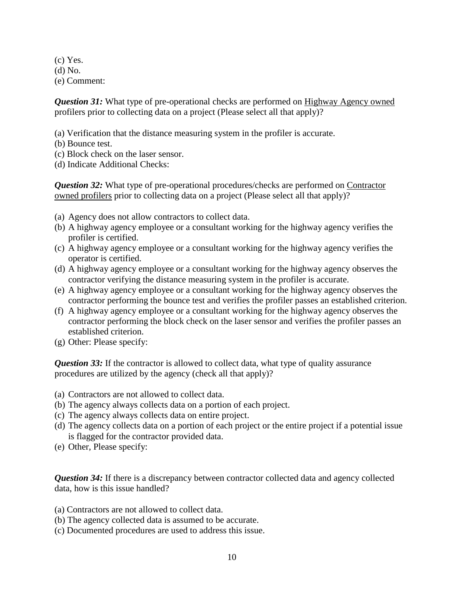(c) Yes. (d) No. (e) Comment:

*Question 31:* What type of pre-operational checks are performed on Highway Agency owned profilers prior to collecting data on a project (Please select all that apply)?

- (a) Verification that the distance measuring system in the profiler is accurate.
- (b) Bounce test.
- (c) Block check on the laser sensor.
- (d) Indicate Additional Checks:

*Question 32:* What type of pre-operational procedures/checks are performed on Contractor owned profilers prior to collecting data on a project (Please select all that apply)?

- (a) Agency does not allow contractors to collect data.
- (b) A highway agency employee or a consultant working for the highway agency verifies the profiler is certified.
- (c) A highway agency employee or a consultant working for the highway agency verifies the operator is certified.
- (d) A highway agency employee or a consultant working for the highway agency observes the contractor verifying the distance measuring system in the profiler is accurate.
- (e) A highway agency employee or a consultant working for the highway agency observes the contractor performing the bounce test and verifies the profiler passes an established criterion.
- (f) A highway agency employee or a consultant working for the highway agency observes the contractor performing the block check on the laser sensor and verifies the profiler passes an established criterion.
- (g) Other: Please specify:

*Question 33:* If the contractor is allowed to collect data, what type of quality assurance procedures are utilized by the agency (check all that apply)?

- (a) Contractors are not allowed to collect data.
- (b) The agency always collects data on a portion of each project.
- (c) The agency always collects data on entire project.
- (d) The agency collects data on a portion of each project or the entire project if a potential issue is flagged for the contractor provided data.
- (e) Other, Please specify:

*Question 34:* If there is a discrepancy between contractor collected data and agency collected data, how is this issue handled?

- (a) Contractors are not allowed to collect data.
- (b) The agency collected data is assumed to be accurate.
- (c) Documented procedures are used to address this issue.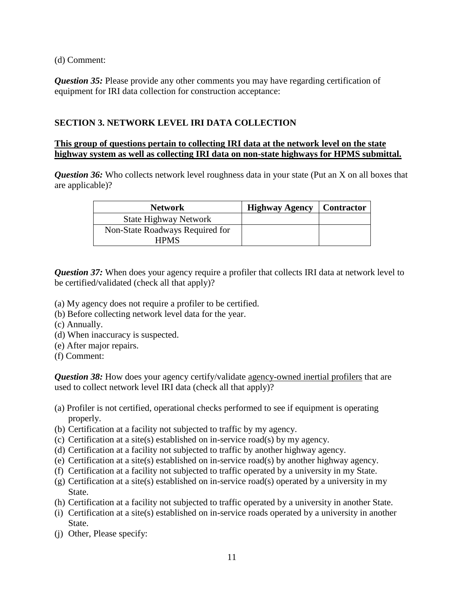(d) Comment:

*Question 35:* Please provide any other comments you may have regarding certification of equipment for IRI data collection for construction acceptance:

## **SECTION 3. NETWORK LEVEL IRI DATA COLLECTION**

#### **This group of questions pertain to collecting IRI data at the network level on the state highway system as well as collecting IRI data on non-state highways for HPMS submittal.**

*Question 36:* Who collects network level roughness data in your state (Put an X on all boxes that are applicable)?

| <b>Network</b>                  | <b>Highway Agency</b> | <b>Contractor</b> |
|---------------------------------|-----------------------|-------------------|
| <b>State Highway Network</b>    |                       |                   |
| Non-State Roadways Required for |                       |                   |
| <b>HPMS</b>                     |                       |                   |

**Question 37:** When does your agency require a profiler that collects IRI data at network level to be certified/validated (check all that apply)?

- (a) My agency does not require a profiler to be certified.
- (b) Before collecting network level data for the year.
- (c) Annually.
- (d) When inaccuracy is suspected.
- (e) After major repairs.
- (f) Comment:

*Question 38:* How does your agency certify/validate agency-owned inertial profilers that are used to collect network level IRI data (check all that apply)?

- (a) Profiler is not certified, operational checks performed to see if equipment is operating properly.
- (b) Certification at a facility not subjected to traffic by my agency.
- (c) Certification at a site(s) established on in-service road(s) by my agency.
- (d) Certification at a facility not subjected to traffic by another highway agency.
- (e) Certification at a site(s) established on in-service road(s) by another highway agency.
- (f) Certification at a facility not subjected to traffic operated by a university in my State.
- (g) Certification at a site(s) established on in-service road(s) operated by a university in my State.
- (h) Certification at a facility not subjected to traffic operated by a university in another State.
- (i) Certification at a site(s) established on in-service roads operated by a university in another State.
- (j) Other, Please specify: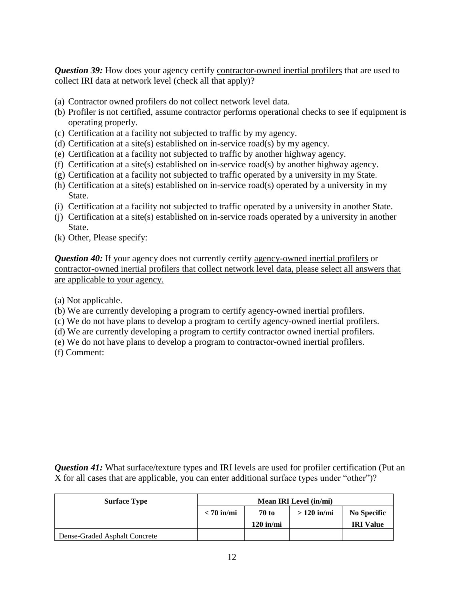**Question 39:** How does your agency certify contractor-owned inertial profilers that are used to collect IRI data at network level (check all that apply)?

- (a) Contractor owned profilers do not collect network level data.
- (b) Profiler is not certified, assume contractor performs operational checks to see if equipment is operating properly.
- (c) Certification at a facility not subjected to traffic by my agency.
- (d) Certification at a site(s) established on in-service road(s) by my agency.
- (e) Certification at a facility not subjected to traffic by another highway agency.
- (f) Certification at a site(s) established on in-service road(s) by another highway agency.
- (g) Certification at a facility not subjected to traffic operated by a university in my State.
- (h) Certification at a site(s) established on in-service road(s) operated by a university in my State.
- (i) Certification at a facility not subjected to traffic operated by a university in another State.
- (j) Certification at a site(s) established on in-service roads operated by a university in another State.
- (k) Other, Please specify:

*Question 40:* If your agency does not currently certify agency-owned inertial profilers or contractor-owned inertial profilers that collect network level data, please select all answers that are applicable to your agency.

(a) Not applicable.

- (b) We are currently developing a program to certify agency-owned inertial profilers.
- (c) We do not have plans to develop a program to certify agency-owned inertial profilers.
- (d) We are currently developing a program to certify contractor owned inertial profilers.
- (e) We do not have plans to develop a program to contractor-owned inertial profilers.
- (f) Comment:

*Question 41:* What surface/texture types and IRI levels are used for profiler certification (Put an X for all cases that are applicable, you can enter additional surface types under "other")?

| <b>Surface Type</b>           | Mean IRI Level (in/mi) |              |              |                  |
|-------------------------------|------------------------|--------------|--------------|------------------|
|                               | $< 70$ in/mi           | <b>70 to</b> | $>120$ in/mi | No Specific      |
|                               |                        | $120$ in/mi  |              | <b>IRI</b> Value |
| Dense-Graded Asphalt Concrete |                        |              |              |                  |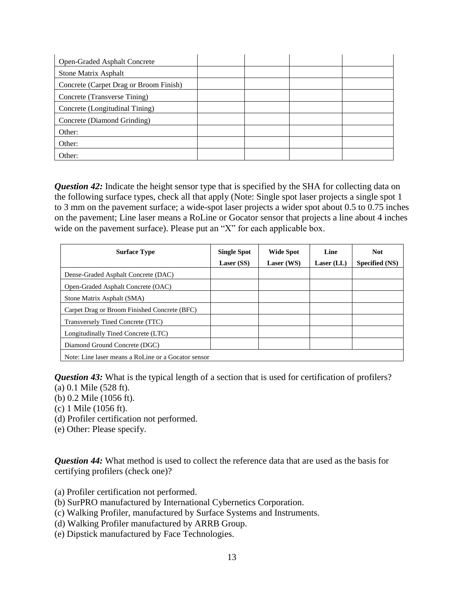| Open-Graded Asphalt Concrete           |  |  |
|----------------------------------------|--|--|
| <b>Stone Matrix Asphalt</b>            |  |  |
| Concrete (Carpet Drag or Broom Finish) |  |  |
| Concrete (Transverse Tining)           |  |  |
| Concrete (Longitudinal Tining)         |  |  |
| Concrete (Diamond Grinding)            |  |  |
| Other:                                 |  |  |
| Other:                                 |  |  |
| Other:                                 |  |  |

**Question 42:** Indicate the height sensor type that is specified by the SHA for collecting data on the following surface types, check all that apply (Note: Single spot laser projects a single spot 1 to 3 mm on the pavement surface; a wide-spot laser projects a wider spot about 0.5 to 0.75 inches on the pavement; Line laser means a RoLine or Gocator sensor that projects a line about 4 inches wide on the pavement surface). Please put an "X" for each applicable box.

| <b>Surface Type</b>                                 | <b>Single Spot</b><br>Laser (SS) | <b>Wide Spot</b><br>Laser (WS) | Line<br>Laser $(LL)$ | <b>Not</b><br>Specified (NS) |
|-----------------------------------------------------|----------------------------------|--------------------------------|----------------------|------------------------------|
| Dense-Graded Asphalt Concrete (DAC)                 |                                  |                                |                      |                              |
| Open-Graded Asphalt Concrete (OAC)                  |                                  |                                |                      |                              |
| Stone Matrix Asphalt (SMA)                          |                                  |                                |                      |                              |
| Carpet Drag or Broom Finished Concrete (BFC)        |                                  |                                |                      |                              |
| Transversely Tined Concrete (TTC)                   |                                  |                                |                      |                              |
| Longitudinally Tined Concrete (LTC)                 |                                  |                                |                      |                              |
| Diamond Ground Concrete (DGC)                       |                                  |                                |                      |                              |
| Note: Line laser means a RoLine or a Gocator sensor |                                  |                                |                      |                              |

*Question 43:* What is the typical length of a section that is used for certification of profilers?

- (a) 0.1 Mile (528 ft).
- (b) 0.2 Mile (1056 ft).
- (c) 1 Mile (1056 ft).
- (d) Profiler certification not performed.
- (e) Other: Please specify.

*Question 44:* What method is used to collect the reference data that are used as the basis for certifying profilers (check one)?

- (a) Profiler certification not performed.
- (b) SurPRO manufactured by International Cybernetics Corporation.
- (c) Walking Profiler, manufactured by Surface Systems and Instruments.
- (d) Walking Profiler manufactured by ARRB Group.
- (e) Dipstick manufactured by Face Technologies.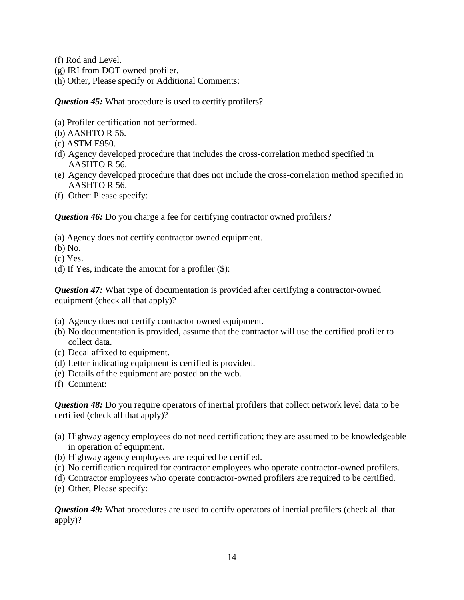- (f) Rod and Level.
- (g) IRI from DOT owned profiler.
- (h) Other, Please specify or Additional Comments:

*Question 45:* What procedure is used to certify profilers?

- (a) Profiler certification not performed.
- (b) AASHTO R 56.
- (c) ASTM E950.
- (d) Agency developed procedure that includes the cross-correlation method specified in AASHTO R 56.
- (e) Agency developed procedure that does not include the cross-correlation method specified in AASHTO R 56.
- (f) Other: Please specify:

*Question 46:* Do you charge a fee for certifying contractor owned profilers?

- (a) Agency does not certify contractor owned equipment.
- (b) No.
- (c) Yes.
- (d) If Yes, indicate the amount for a profiler (\$):

*Question 47:* What type of documentation is provided after certifying a contractor-owned equipment (check all that apply)?

- (a) Agency does not certify contractor owned equipment.
- (b) No documentation is provided, assume that the contractor will use the certified profiler to collect data.
- (c) Decal affixed to equipment.
- (d) Letter indicating equipment is certified is provided.
- (e) Details of the equipment are posted on the web.
- (f) Comment:

*Question 48:* Do you require operators of inertial profilers that collect network level data to be certified (check all that apply)?

- (a) Highway agency employees do not need certification; they are assumed to be knowledgeable in operation of equipment.
- (b) Highway agency employees are required be certified.
- (c) No certification required for contractor employees who operate contractor-owned profilers.
- (d) Contractor employees who operate contractor-owned profilers are required to be certified.
- (e) Other, Please specify:

*Question 49:* What procedures are used to certify operators of inertial profilers (check all that apply)?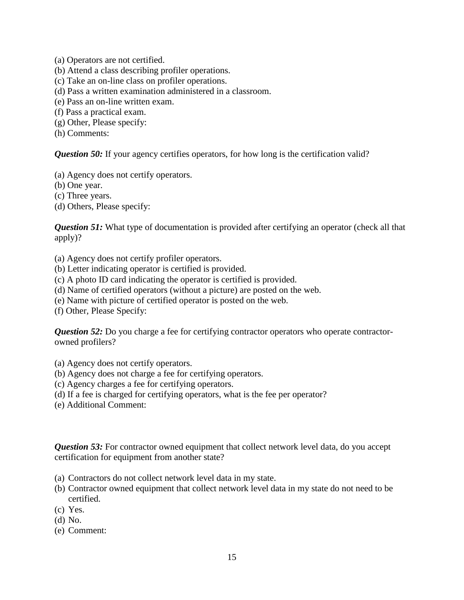(a) Operators are not certified.

- (b) Attend a class describing profiler operations.
- (c) Take an on-line class on profiler operations.
- (d) Pass a written examination administered in a classroom.
- (e) Pass an on-line written exam.
- (f) Pass a practical exam.
- (g) Other, Please specify:
- (h) Comments:

**Question 50:** If your agency certifies operators, for how long is the certification valid?

- (a) Agency does not certify operators.
- (b) One year.
- (c) Three years.

(d) Others, Please specify:

*Question 51:* What type of documentation is provided after certifying an operator (check all that apply)?

- (a) Agency does not certify profiler operators.
- (b) Letter indicating operator is certified is provided.
- (c) A photo ID card indicating the operator is certified is provided.
- (d) Name of certified operators (without a picture) are posted on the web.
- (e) Name with picture of certified operator is posted on the web.
- (f) Other, Please Specify:

*Question 52:* Do you charge a fee for certifying contractor operators who operate contractorowned profilers?

(a) Agency does not certify operators.

- (b) Agency does not charge a fee for certifying operators.
- (c) Agency charges a fee for certifying operators.
- (d) If a fee is charged for certifying operators, what is the fee per operator?
- (e) Additional Comment:

**Question 53:** For contractor owned equipment that collect network level data, do you accept certification for equipment from another state?

- (a) Contractors do not collect network level data in my state.
- (b) Contractor owned equipment that collect network level data in my state do not need to be certified.
- (c) Yes.
- (d) No.
- (e) Comment: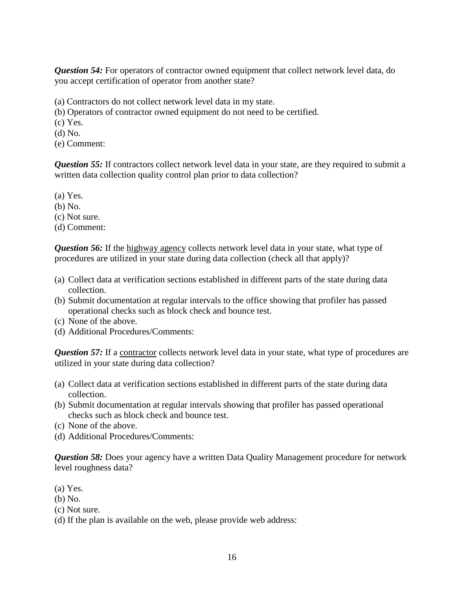*Question 54:* For operators of contractor owned equipment that collect network level data, do you accept certification of operator from another state?

(a) Contractors do not collect network level data in my state.

(b) Operators of contractor owned equipment do not need to be certified.

(c) Yes.

(d) No.

(e) Comment:

*Question 55:* If contractors collect network level data in your state, are they required to submit a written data collection quality control plan prior to data collection?

(a) Yes.

(b) No.

(c) Not sure.

(d) Comment:

*Question 56:* If the highway agency collects network level data in your state, what type of procedures are utilized in your state during data collection (check all that apply)?

- (a) Collect data at verification sections established in different parts of the state during data collection.
- (b) Submit documentation at regular intervals to the office showing that profiler has passed operational checks such as block check and bounce test.
- (c) None of the above.
- (d) Additional Procedures/Comments:

**Question 57:** If a contractor collects network level data in your state, what type of procedures are utilized in your state during data collection?

- (a) Collect data at verification sections established in different parts of the state during data collection.
- (b) Submit documentation at regular intervals showing that profiler has passed operational checks such as block check and bounce test.
- (c) None of the above.
- (d) Additional Procedures/Comments:

*Question 58:* Does your agency have a written Data Quality Management procedure for network level roughness data?

(a) Yes.

(b) No.

(c) Not sure.

(d) If the plan is available on the web, please provide web address: